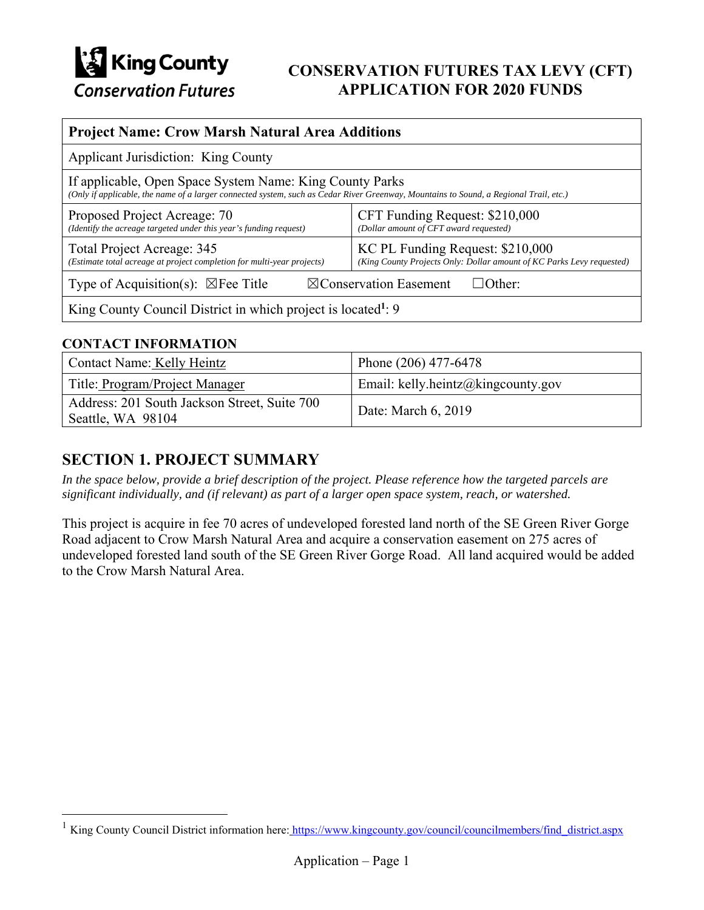

## **CONSERVATION FUTURES TAX LEVY (CFT) APPLICATION FOR 2020 FUNDS**

| <b>Project Name: Crow Marsh Natural Area Additions</b>                                                                                                                                            |                                                                                                           |  |
|---------------------------------------------------------------------------------------------------------------------------------------------------------------------------------------------------|-----------------------------------------------------------------------------------------------------------|--|
| <b>Applicant Jurisdiction: King County</b>                                                                                                                                                        |                                                                                                           |  |
| If applicable, Open Space System Name: King County Parks<br>(Only if applicable, the name of a larger connected system, such as Cedar River Greenway, Mountains to Sound, a Regional Trail, etc.) |                                                                                                           |  |
| Proposed Project Acreage: 70<br>(Identify the acreage targeted under this year's funding request)                                                                                                 | CFT Funding Request: \$210,000<br>(Dollar amount of CFT award requested)                                  |  |
| Total Project Acreage: 345<br>(Estimate total acreage at project completion for multi-year projects)                                                                                              | KC PL Funding Request: \$210,000<br>(King County Projects Only: Dollar amount of KC Parks Levy requested) |  |
| Type of Acquisition(s): $\boxtimes$ Fee Title<br>$\boxtimes$ Conservation Easement<br>$\Box$ Other:                                                                                               |                                                                                                           |  |
| King County Council District in which project is located <sup>1</sup> : 9                                                                                                                         |                                                                                                           |  |

### **CONTACT INFORMATION**

 $\overline{a}$ 

| Contact Name: Kelly Heintz                                        | Phone (206) 477-6478               |
|-------------------------------------------------------------------|------------------------------------|
| Title: Program/Project Manager                                    | Email: kelly.heintz@kingcounty.gov |
| Address: 201 South Jackson Street, Suite 700<br>Seattle, WA 98104 | Date: March 6, 2019                |

## **SECTION 1. PROJECT SUMMARY**

*In the space below, provide a brief description of the project. Please reference how the targeted parcels are significant individually, and (if relevant) as part of a larger open space system, reach, or watershed.* 

This project is acquire in fee 70 acres of undeveloped forested land north of the SE Green River Gorge Road adjacent to Crow Marsh Natural Area and acquire a conservation easement on 275 acres of undeveloped forested land south of the SE Green River Gorge Road. All land acquired would be added to the Crow Marsh Natural Area.

<sup>&</sup>lt;sup>1</sup> King County Council District information here: https://www.kingcounty.gov/council/councilmembers/find\_district.aspx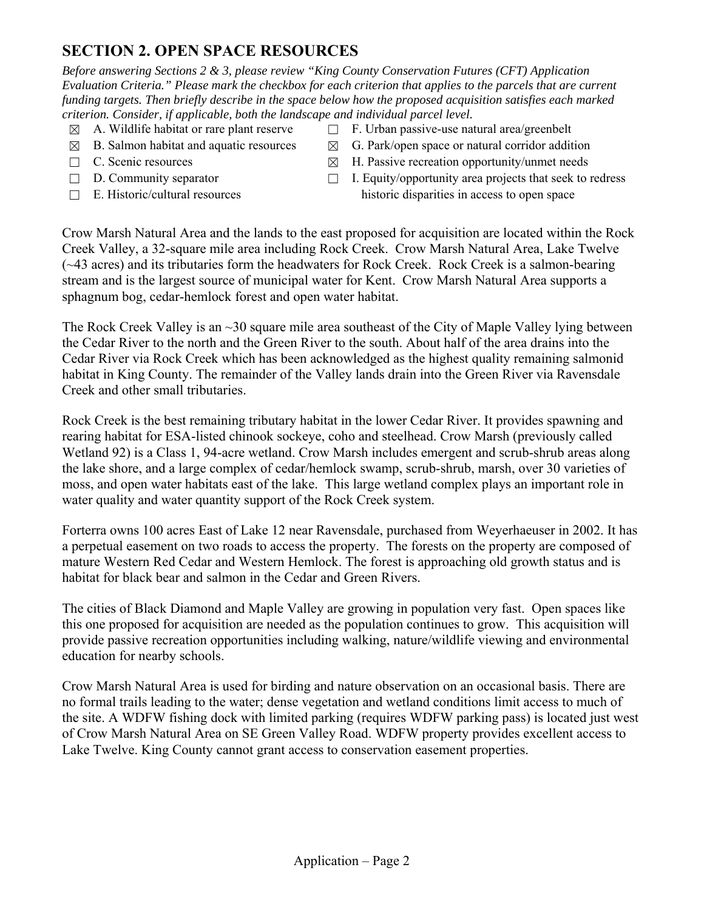## **SECTION 2. OPEN SPACE RESOURCES**

*Before answering Sections 2 & 3, please review "King County Conservation Futures (CFT) Application Evaluation Criteria." Please mark the checkbox for each criterion that applies to the parcels that are current funding targets. Then briefly describe in the space below how the proposed acquisition satisfies each marked criterion. Consider, if applicable, both the landscape and individual parcel level.* 

- 
- 
- 
- 
- 
- $\boxtimes$  A. Wildlife habitat or rare plant reserve  $\Box$  F. Urban passive-use natural area/greenbelt
- $\boxtimes$  B. Salmon habitat and aquatic resources  $\boxtimes$  G. Park/open space or natural corridor addition
- $\Box$  C. Scenic resources  $\boxtimes$  H. Passive recreation opportunity/unmet needs
- ☐ D. Community separator ☐ I. Equity/opportunity area projects that seek to redress  $\Box$  E. Historic/cultural resources historic disparities in access to open space

Crow Marsh Natural Area and the lands to the east proposed for acquisition are located within the Rock Creek Valley, a 32-square mile area including Rock Creek. Crow Marsh Natural Area, Lake Twelve (~43 acres) and its tributaries form the headwaters for Rock Creek. Rock Creek is a salmon-bearing stream and is the largest source of municipal water for Kent.Crow Marsh Natural Area supports a sphagnum bog, cedar-hemlock forest and open water habitat.

The Rock Creek Valley is an ~30 square mile area southeast of the City of Maple Valley lying between the Cedar River to the north and the Green River to the south. About half of the area drains into the Cedar River via Rock Creek which has been acknowledged as the highest quality remaining salmonid habitat in King County. The remainder of the Valley lands drain into the Green River via Ravensdale Creek and other small tributaries.

Rock Creek is the best remaining tributary habitat in the lower Cedar River. It provides spawning and rearing habitat for ESA-listed chinook sockeye, coho and steelhead. Crow Marsh (previously called Wetland 92) is a Class 1, 94-acre wetland. Crow Marsh includes emergent and scrub-shrub areas along the lake shore, and a large complex of cedar/hemlock swamp, scrub-shrub, marsh, over 30 varieties of moss, and open water habitats east of the lake. This large wetland complex plays an important role in water quality and water quantity support of the Rock Creek system.

Forterra owns 100 acres East of Lake 12 near Ravensdale, purchased from Weyerhaeuser in 2002. It has a perpetual easement on two roads to access the property. The forests on the property are composed of mature Western Red Cedar and Western Hemlock. The forest is approaching old growth status and is habitat for black bear and salmon in the Cedar and Green Rivers.

The cities of Black Diamond and Maple Valley are growing in population very fast. Open spaces like this one proposed for acquisition are needed as the population continues to grow. This acquisition will provide passive recreation opportunities including walking, nature/wildlife viewing and environmental education for nearby schools.

Crow Marsh Natural Area is used for birding and nature observation on an occasional basis. There are no formal trails leading to the water; dense vegetation and wetland conditions limit access to much of the site. A WDFW fishing dock with limited parking (requires WDFW parking pass) is located just west of Crow Marsh Natural Area on SE Green Valley Road. WDFW property provides excellent access to Lake Twelve. King County cannot grant access to conservation easement properties.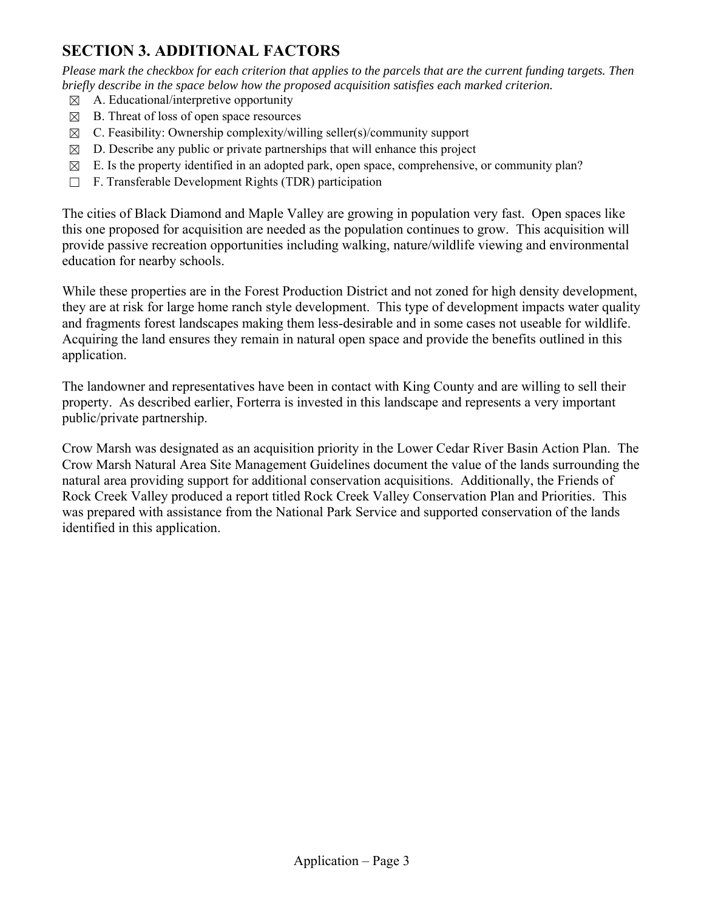## **SECTION 3. ADDITIONAL FACTORS**

*Please mark the checkbox for each criterion that applies to the parcels that are the current funding targets. Then briefly describe in the space below how the proposed acquisition satisfies each marked criterion.* 

- $\boxtimes$  A. Educational/interpretive opportunity
- $\boxtimes$  B. Threat of loss of open space resources
- $\boxtimes$  C. Feasibility: Ownership complexity/willing seller(s)/community support
- $\boxtimes$  D. Describe any public or private partnerships that will enhance this project
- $\boxtimes$  E. Is the property identified in an adopted park, open space, comprehensive, or community plan?
- ☐ F. Transferable Development Rights (TDR) participation

The cities of Black Diamond and Maple Valley are growing in population very fast. Open spaces like this one proposed for acquisition are needed as the population continues to grow. This acquisition will provide passive recreation opportunities including walking, nature/wildlife viewing and environmental education for nearby schools.

While these properties are in the Forest Production District and not zoned for high density development, they are at risk for large home ranch style development. This type of development impacts water quality and fragments forest landscapes making them less-desirable and in some cases not useable for wildlife. Acquiring the land ensures they remain in natural open space and provide the benefits outlined in this application.

The landowner and representatives have been in contact with King County and are willing to sell their property. As described earlier, Forterra is invested in this landscape and represents a very important public/private partnership.

Crow Marsh was designated as an acquisition priority in the Lower Cedar River Basin Action Plan. The Crow Marsh Natural Area Site Management Guidelines document the value of the lands surrounding the natural area providing support for additional conservation acquisitions. Additionally, the Friends of Rock Creek Valley produced a report titled Rock Creek Valley Conservation Plan and Priorities. This was prepared with assistance from the National Park Service and supported conservation of the lands identified in this application.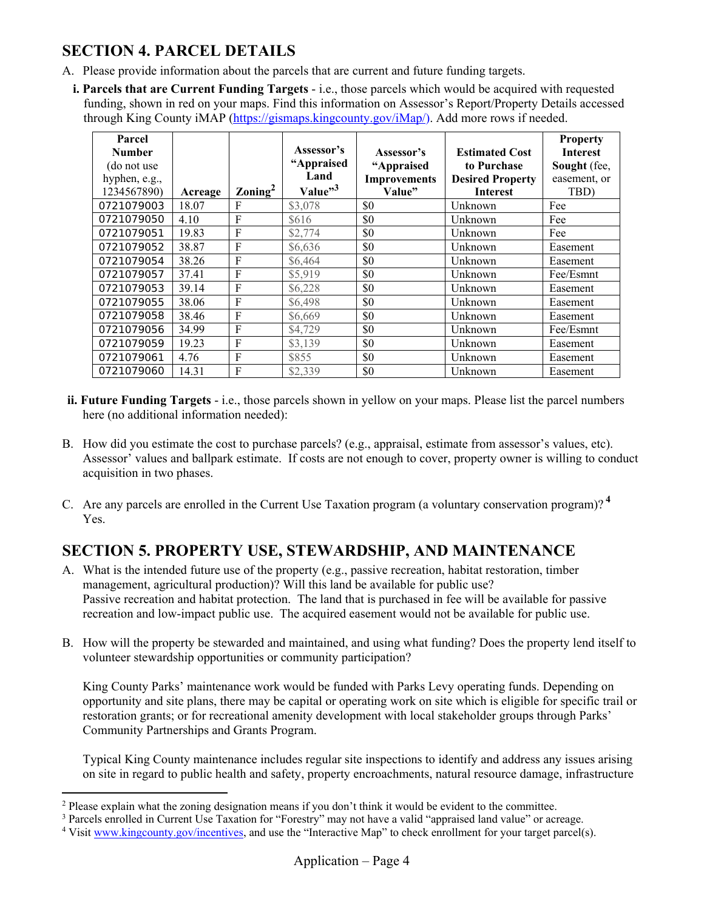## **SECTION 4. PARCEL DETAILS**

- A. Please provide information about the parcels that are current and future funding targets.
	- **i. Parcels that are Current Funding Targets** i.e., those parcels which would be acquired with requested funding, shown in red on your maps. Find this information on Assessor's Report/Property Details accessed through King County iMAP (https://gismaps.kingcounty.gov/iMap/). Add more rows if needed.

| Parcel<br><b>Number</b><br>(do not use)<br>hyphen, e.g.,<br>1234567890) |                  | $\gamma$ Zoning <sup>2</sup> | Assessor's<br>"Appraised<br>Land<br>Value"3 | Assessor's<br>"Appraised<br><b>Improvements</b><br>Value" | <b>Estimated Cost</b><br>to Purchase<br><b>Desired Property</b><br><b>Interest</b> | <b>Property</b><br><b>Interest</b><br>Sought (fee,<br>easement, or<br>TBD) |
|-------------------------------------------------------------------------|------------------|------------------------------|---------------------------------------------|-----------------------------------------------------------|------------------------------------------------------------------------------------|----------------------------------------------------------------------------|
| 0721079003                                                              | Acreage<br>18.07 | F                            | \$3,078                                     | \$0                                                       | Unknown                                                                            | Fee                                                                        |
| 0721079050                                                              | 4.10             | F                            | \$616                                       | \$0                                                       | Unknown                                                                            | Fee                                                                        |
| 0721079051                                                              | 19.83            | F                            | \$2,774                                     | \$0                                                       | Unknown                                                                            | Fee                                                                        |
| 0721079052                                                              | 38.87            | $\mathbf F$                  | \$6,636                                     | \$0                                                       | Unknown                                                                            | Easement                                                                   |
| 0721079054                                                              | 38.26            | $\mathbf F$                  | \$6,464                                     | \$0                                                       | Unknown                                                                            | Easement                                                                   |
| 0721079057                                                              | 37.41            | $\mathbf{F}$                 | \$5,919                                     | \$0                                                       | Unknown                                                                            | Fee/Esmnt                                                                  |
| 0721079053                                                              | 39.14            | F                            | \$6,228                                     | \$0                                                       | Unknown                                                                            | Easement                                                                   |
| 0721079055                                                              | 38.06            | $\mathbf F$                  | \$6,498                                     | \$0                                                       | Unknown                                                                            | Easement                                                                   |
| 0721079058                                                              | 38.46            | $\mathbf{F}$                 | \$6,669                                     | \$0                                                       | Unknown                                                                            | Easement                                                                   |
| 0721079056                                                              | 34.99            | F                            | \$4,729                                     | \$0                                                       | Unknown                                                                            | Fee/Esmnt                                                                  |
| 0721079059                                                              | 19.23            | $\mathbf F$                  | \$3,139                                     | \$0                                                       | Unknown                                                                            | Easement                                                                   |
| 0721079061                                                              | 4.76             | $\mathbf{F}$                 | \$855                                       | \$0                                                       | Unknown                                                                            | Easement                                                                   |
| 0721079060                                                              | 14.31            | F                            | \$2,339                                     | \$0                                                       | Unknown                                                                            | Easement                                                                   |

- **ii. Future Funding Targets** i.e., those parcels shown in yellow on your maps. Please list the parcel numbers here (no additional information needed):
- B. How did you estimate the cost to purchase parcels? (e.g., appraisal, estimate from assessor's values, etc). Assessor' values and ballpark estimate. If costs are not enough to cover, property owner is willing to conduct acquisition in two phases.
- C. Are any parcels are enrolled in the Current Use Taxation program (a voluntary conservation program)? **<sup>4</sup>** Yes.

# **SECTION 5. PROPERTY USE, STEWARDSHIP, AND MAINTENANCE**

- A. What is the intended future use of the property (e.g., passive recreation, habitat restoration, timber management, agricultural production)? Will this land be available for public use? Passive recreation and habitat protection. The land that is purchased in fee will be available for passive recreation and low-impact public use. The acquired easement would not be available for public use.
- B. How will the property be stewarded and maintained, and using what funding? Does the property lend itself to volunteer stewardship opportunities or community participation?

King County Parks' maintenance work would be funded with Parks Levy operating funds. Depending on opportunity and site plans, there may be capital or operating work on site which is eligible for specific trail or restoration grants; or for recreational amenity development with local stakeholder groups through Parks' Community Partnerships and Grants Program.

Typical King County maintenance includes regular site inspections to identify and address any issues arising on site in regard to public health and safety, property encroachments, natural resource damage, infrastructure

 $\overline{a}$ 

<sup>&</sup>lt;sup>2</sup> Please explain what the zoning designation means if you don't think it would be evident to the committee.

<sup>&</sup>lt;sup>3</sup> Parcels enrolled in Current Use Taxation for "Forestry" may not have a valid "appraised land value" or acreage.<br><sup>4</sup> Visit www.kingcounty.gov/incentives, and use the "Interactive Man" to check enrollment for your target

<sup>&</sup>lt;sup>4</sup> Visit www.kingcounty.gov/incentives, and use the "Interactive Map" to check enrollment for your target parcel(s).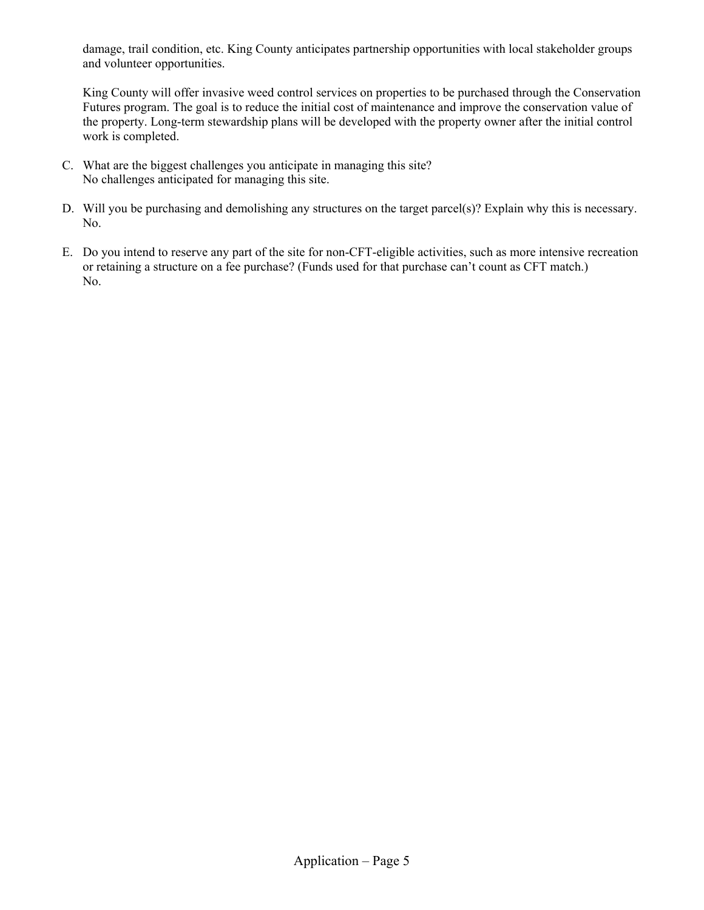damage, trail condition, etc. King County anticipates partnership opportunities with local stakeholder groups and volunteer opportunities.

King County will offer invasive weed control services on properties to be purchased through the Conservation Futures program. The goal is to reduce the initial cost of maintenance and improve the conservation value of the property. Long-term stewardship plans will be developed with the property owner after the initial control work is completed.

- C. What are the biggest challenges you anticipate in managing this site? No challenges anticipated for managing this site.
- D. Will you be purchasing and demolishing any structures on the target parcel(s)? Explain why this is necessary. No.
- E. Do you intend to reserve any part of the site for non-CFT-eligible activities, such as more intensive recreation or retaining a structure on a fee purchase? (Funds used for that purchase can't count as CFT match.) No.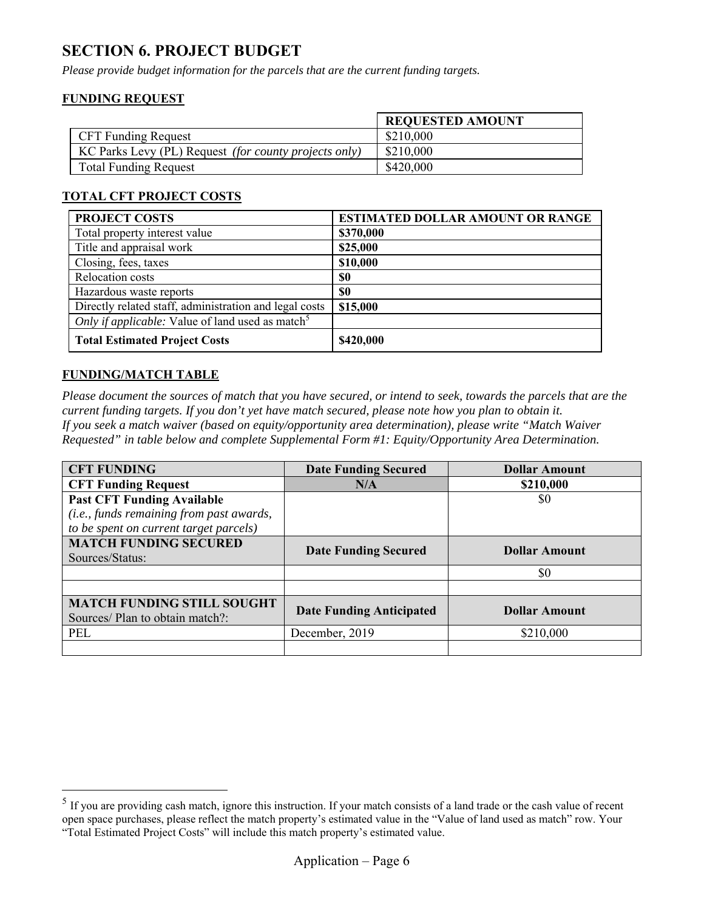## **SECTION 6. PROJECT BUDGET**

*Please provide budget information for the parcels that are the current funding targets.* 

### **FUNDING REQUEST**

|                                                       | <b>REQUESTED AMOUNT</b> |
|-------------------------------------------------------|-------------------------|
| <b>CFT Funding Request</b>                            | \$210,000               |
| KC Parks Levy (PL) Request (for county projects only) | \$210,000               |
| <b>Total Funding Request</b>                          | \$420,000               |

### **TOTAL CFT PROJECT COSTS**

| <b>PROJECT COSTS</b>                                         | <b>ESTIMATED DOLLAR AMOUNT OR RANGE</b> |
|--------------------------------------------------------------|-----------------------------------------|
| Total property interest value                                | \$370,000                               |
| Title and appraisal work                                     | \$25,000                                |
| Closing, fees, taxes                                         | \$10,000                                |
| Relocation costs                                             | <b>SO</b>                               |
| Hazardous waste reports                                      | \$0                                     |
| Directly related staff, administration and legal costs       | \$15,000                                |
| Only if applicable: Value of land used as match <sup>5</sup> |                                         |
| <b>Total Estimated Project Costs</b>                         | \$420,000                               |

#### **FUNDING/MATCH TABLE**

 $\overline{a}$ 

*Please document the sources of match that you have secured, or intend to seek, towards the parcels that are the current funding targets. If you don't yet have match secured, please note how you plan to obtain it. If you seek a match waiver (based on equity/opportunity area determination), please write "Match Waiver Requested" in table below and complete Supplemental Form #1: Equity/Opportunity Area Determination.* 

| <b>CFT FUNDING</b>                       | <b>Date Funding Secured</b>     | <b>Dollar Amount</b> |  |
|------------------------------------------|---------------------------------|----------------------|--|
| <b>CFT Funding Request</b>               | N/A                             | \$210,000            |  |
| <b>Past CFT Funding Available</b>        |                                 | \$0                  |  |
| (i.e., funds remaining from past awards, |                                 |                      |  |
| to be spent on current target parcels)   |                                 |                      |  |
| <b>MATCH FUNDING SECURED</b>             |                                 | <b>Dollar Amount</b> |  |
| Sources/Status:                          | <b>Date Funding Secured</b>     |                      |  |
|                                          |                                 | \$0                  |  |
|                                          |                                 |                      |  |
| <b>MATCH FUNDING STILL SOUGHT</b>        |                                 |                      |  |
| Sources/ Plan to obtain match?:          | <b>Date Funding Anticipated</b> | <b>Dollar Amount</b> |  |
| PEL                                      | December, 2019                  | \$210,000            |  |
|                                          |                                 |                      |  |

<sup>&</sup>lt;sup>5</sup> If you are providing cash match, ignore this instruction. If your match consists of a land trade or the cash value of recent open space purchases, please reflect the match property's estimated value in the "Value of land used as match" row. Your "Total Estimated Project Costs" will include this match property's estimated value.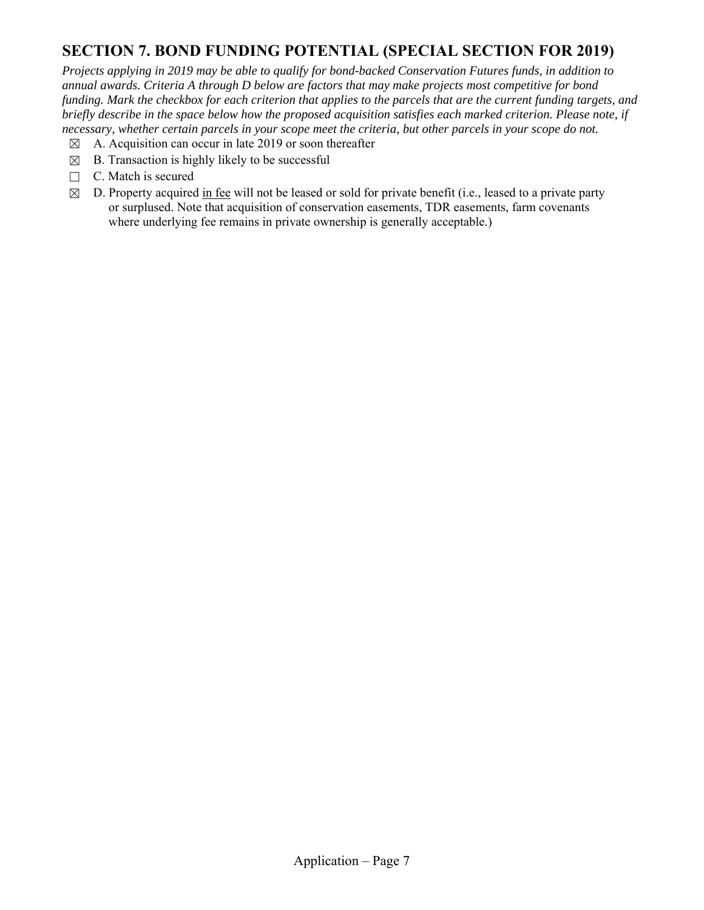## **SECTION 7. BOND FUNDING POTENTIAL (SPECIAL SECTION FOR 2019)**

*Projects applying in 2019 may be able to qualify for bond-backed Conservation Futures funds, in addition to annual awards. Criteria A through D below are factors that may make projects most competitive for bond funding. Mark the checkbox for each criterion that applies to the parcels that are the current funding targets, and briefly describe in the space below how the proposed acquisition satisfies each marked criterion. Please note, if necessary, whether certain parcels in your scope meet the criteria, but other parcels in your scope do not.* 

- $\boxtimes$  A. Acquisition can occur in late 2019 or soon thereafter
- $\boxtimes$  B. Transaction is highly likely to be successful
- □ C. Match is secured
- $\boxtimes$  D. Property acquired in fee will not be leased or sold for private benefit (i.e., leased to a private party or surplused. Note that acquisition of conservation easements, TDR easements, farm covenants where underlying fee remains in private ownership is generally acceptable.)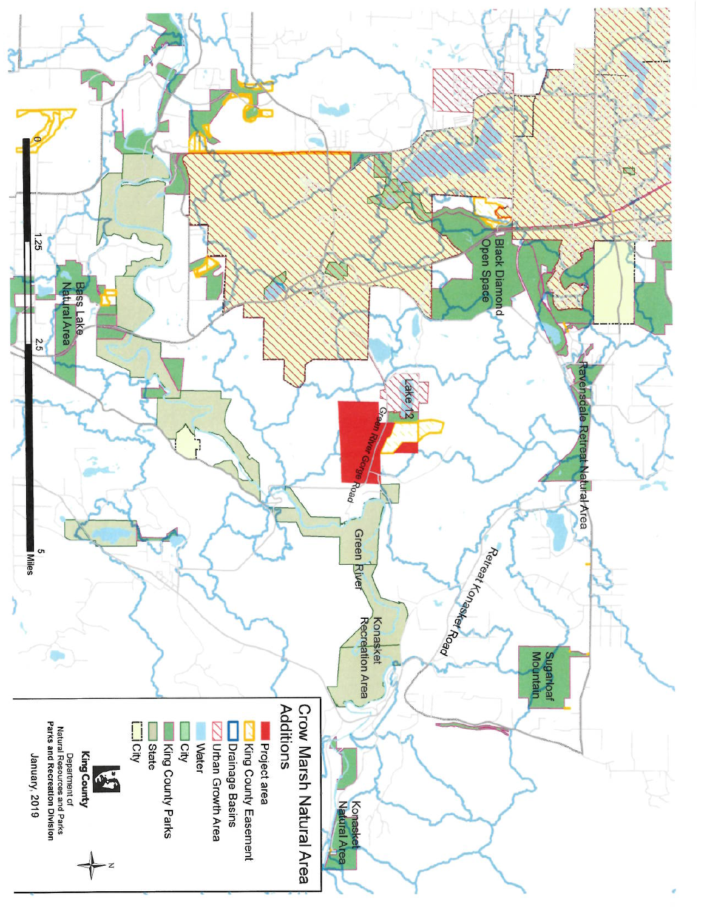